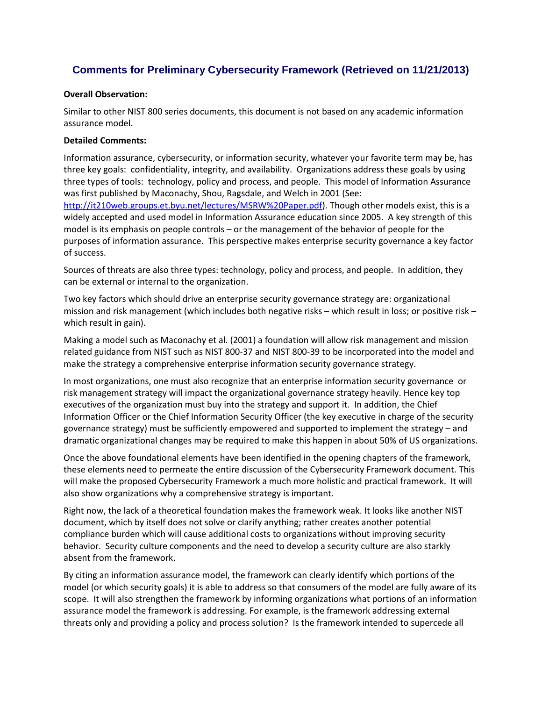## **Comments for Preliminary Cybersecurity Framework (Retrieved on 11/21/2013)**

## **Overall Observation:**

 Similar to other NIST 800 series documents, this document is not based on any academic information assurance model.

## **Detailed Comments:**

 Information assurance, cybersecurity, or information security, whatever your favorite term may be, has three key goals: confidentiality, integrity, and availability. Organizations address these goals by using three types of tools: technology, policy and process, and people. This model of Information Assurance was first published by Maconachy, Shou, Ragsdale, and Welch in 2001 (See: widely accepted and used model in Information Assurance education since 2005. A key strength of this purposes of information assurance. This perspective makes enterprise security governance a key factor http://it210web.groups.et.byu.net/lectures/MSRW%20Paper.pdf). Though other models exist, this is a model is its emphasis on people controls – or the management of the behavior of people for the of success.

 Sources of threats are also three types: technology, policy and process, and people. In addition, they can be external or internal to the organization.

Two key factors which should drive an enterprise security governance strategy are: organizational mission and risk management (which includes both negative risks – which result in loss; or positive risk – which result in gain).

 Making a model such as Maconachy et al. (2001) a foundation will allow risk management and mission related guidance from NIST such as NIST 800-37 and NIST 800-39 to be incorporated into the model and make the strategy a comprehensive enterprise information security governance strategy.

 In most organizations, one must also recognize that an enterprise information security governance or risk management strategy will impact the organizational governance strategy heavily. Hence key top Information Officer or the Chief Information Security Officer (the key executive in charge of the security governance strategy) must be sufficiently empowered and supported to implement the strategy – and dramatic organizational changes may be required to make this happen in about 50% of US organizations. executives of the organization must buy into the strategy and support it. In addition, the Chief

 these elements need to permeate the entire discussion of the Cybersecurity Framework document. This will make the proposed Cybersecurity Framework a much more holistic and practical framework. It will Once the above foundational elements have been identified in the opening chapters of the framework, also show organizations why a comprehensive strategy is important.

 document, which by itself does not solve or clarify anything; rather creates another potential Right now, the lack of a theoretical foundation makes the framework weak. It looks like another NIST compliance burden which will cause additional costs to organizations without improving security behavior. Security culture components and the need to develop a security culture are also starkly absent from the framework.

 model (or which security goals) it is able to address so that consumers of the model are fully aware of its scope. It will also strengthen the framework by informing organizations what portions of an information threats only and providing a policy and process solution? Is the framework intended to supercede all By citing an information assurance model, the framework can clearly identify which portions of the assurance model the framework is addressing. For example, is the framework addressing external